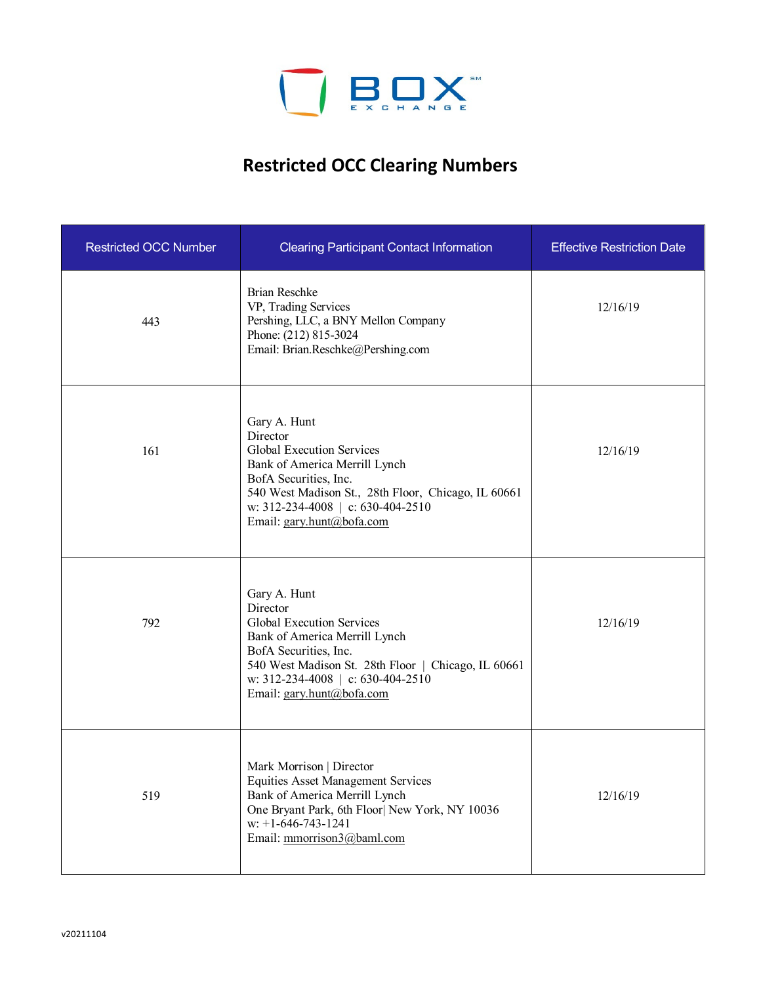

## **Restricted OCC Clearing Numbers**

| <b>Restricted OCC Number</b> | <b>Clearing Participant Contact Information</b>                                                                                                                                                                                          | <b>Effective Restriction Date</b> |
|------------------------------|------------------------------------------------------------------------------------------------------------------------------------------------------------------------------------------------------------------------------------------|-----------------------------------|
| 443                          | <b>Brian Reschke</b><br>VP, Trading Services<br>Pershing, LLC, a BNY Mellon Company<br>Phone: (212) 815-3024<br>Email: Brian.Reschke@Pershing.com                                                                                        | 12/16/19                          |
| 161                          | Gary A. Hunt<br>Director<br>Global Execution Services<br>Bank of America Merrill Lynch<br>BofA Securities, Inc.<br>540 West Madison St., 28th Floor, Chicago, IL 60661<br>w: 312-234-4008   c: 630-404-2510<br>Email: gary.hunt@bofa.com | 12/16/19                          |
| 792                          | Gary A. Hunt<br>Director<br>Global Execution Services<br>Bank of America Merrill Lynch<br>BofA Securities, Inc.<br>540 West Madison St. 28th Floor   Chicago, IL 60661<br>w: 312-234-4008   c: 630-404-2510<br>Email: gary.hunt@bofa.com | 12/16/19                          |
| 519                          | Mark Morrison   Director<br><b>Equities Asset Management Services</b><br>Bank of America Merrill Lynch<br>One Bryant Park, 6th Floor  New York, NY 10036<br>$w: +1-646-743-1241$<br>Email: mmorrison3@baml.com                           | 12/16/19                          |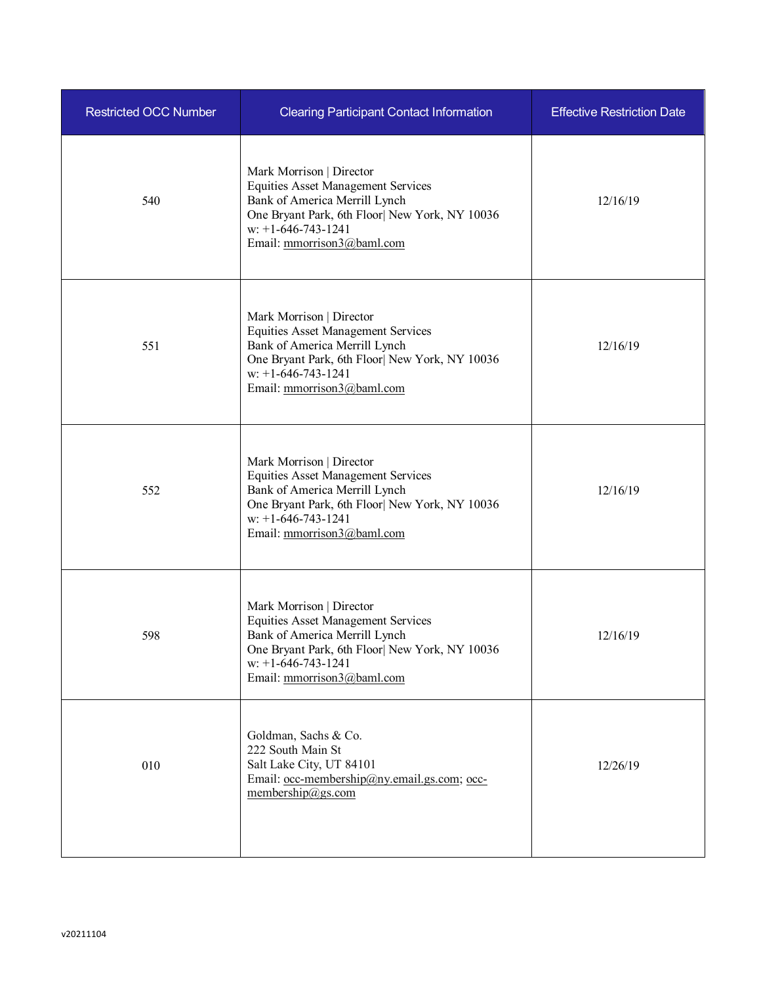| <b>Restricted OCC Number</b> | <b>Clearing Participant Contact Information</b>                                                                                                                                                                | <b>Effective Restriction Date</b> |
|------------------------------|----------------------------------------------------------------------------------------------------------------------------------------------------------------------------------------------------------------|-----------------------------------|
| 540                          | Mark Morrison   Director<br><b>Equities Asset Management Services</b><br>Bank of America Merrill Lynch<br>One Bryant Park, 6th Floor  New York, NY 10036<br>$w: +1-646-743-1241$<br>Email: mmorrison3@baml.com | 12/16/19                          |
| 551                          | Mark Morrison   Director<br><b>Equities Asset Management Services</b><br>Bank of America Merrill Lynch<br>One Bryant Park, 6th Floor  New York, NY 10036<br>$w: +1-646-743-1241$<br>Email: mmorrison3@baml.com | 12/16/19                          |
| 552                          | Mark Morrison   Director<br><b>Equities Asset Management Services</b><br>Bank of America Merrill Lynch<br>One Bryant Park, 6th Floor  New York, NY 10036<br>$w: +1-646-743-1241$<br>Email: mmorrison3@baml.com | 12/16/19                          |
| 598                          | Mark Morrison   Director<br><b>Equities Asset Management Services</b><br>Bank of America Merrill Lynch<br>One Bryant Park, 6th Floor  New York, NY 10036<br>$w: +1-646-743-1241$<br>Email: mmorrison3@baml.com | 12/16/19                          |
| 010                          | Goldman, Sachs & Co.<br>222 South Main St<br>Salt Lake City, UT 84101<br>Email: occ-membership@ny.email.gs.com; occ-<br>membership@gs.com                                                                      | 12/26/19                          |